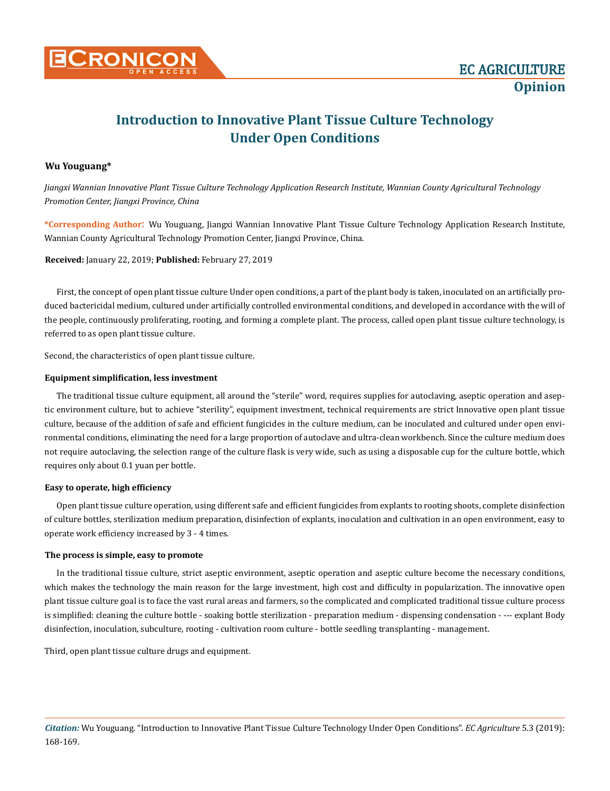

# **Introduction to Innovative Plant Tissue Culture Technology Under Open Conditions**

## **Wu Youguang\***

*Jiangxi Wannian Innovative Plant Tissue Culture Technology Application Research Institute, Wannian County Agricultural Technology Promotion Center, Jiangxi Province, China*

**\*Corresponding Author**: Wu Youguang, Jiangxi Wannian Innovative Plant Tissue Culture Technology Application Research Institute, Wannian County Agricultural Technology Promotion Center, Jiangxi Province, China.

**Received:** January 22, 2019; **Published:** February 27, 2019

First, the concept of open plant tissue culture Under open conditions, a part of the plant body is taken, inoculated on an artificially produced bactericidal medium, cultured under artificially controlled environmental conditions, and developed in accordance with the will of the people, continuously proliferating, rooting, and forming a complete plant. The process, called open plant tissue culture technology, is referred to as open plant tissue culture.

Second, the characteristics of open plant tissue culture.

### **Equipment simplification, less investment**

The traditional tissue culture equipment, all around the "sterile" word, requires supplies for autoclaving, aseptic operation and aseptic environment culture, but to achieve "sterility", equipment investment, technical requirements are strict Innovative open plant tissue culture, because of the addition of safe and efficient fungicides in the culture medium, can be inoculated and cultured under open environmental conditions, eliminating the need for a large proportion of autoclave and ultra-clean workbench. Since the culture medium does not require autoclaving, the selection range of the culture flask is very wide, such as using a disposable cup for the culture bottle, which requires only about 0.1 yuan per bottle.

### **Easy to operate, high efficiency**

Open plant tissue culture operation, using different safe and efficient fungicides from explants to rooting shoots, complete disinfection of culture bottles, sterilization medium preparation, disinfection of explants, inoculation and cultivation in an open environment, easy to operate work efficiency increased by 3 - 4 times.

### **The process is simple, easy to promote**

In the traditional tissue culture, strict aseptic environment, aseptic operation and aseptic culture become the necessary conditions, which makes the technology the main reason for the large investment, high cost and difficulty in popularization. The innovative open plant tissue culture goal is to face the vast rural areas and farmers, so the complicated and complicated traditional tissue culture process is simplified: cleaning the culture bottle - soaking bottle sterilization - preparation medium - dispensing condensation - --- explant Body disinfection, inoculation, subculture, rooting - cultivation room culture - bottle seedling transplanting - management.

Third, open plant tissue culture drugs and equipment.